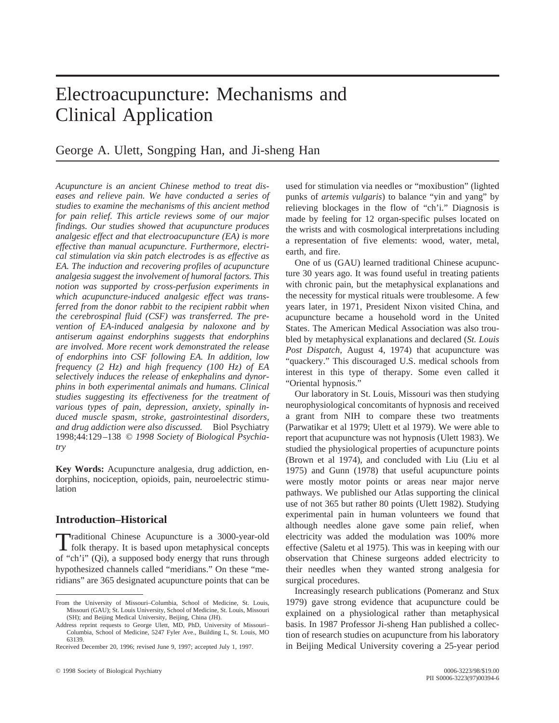# Electroacupuncture: Mechanisms and Clinical Application

# George A. Ulett, Songping Han, and Ji-sheng Han

*Acupuncture is an ancient Chinese method to treat diseases and relieve pain. We have conducted a series of studies to examine the mechanisms of this ancient method for pain relief. This article reviews some of our major findings. Our studies showed that acupuncture produces analgesic effect and that electroacupuncture (EA) is more effective than manual acupuncture. Furthermore, electrical stimulation via skin patch electrodes is as effective as EA. The induction and recovering profiles of acupuncture analgesia suggest the involvement of humoral factors. This notion was supported by cross-perfusion experiments in which acupuncture-induced analgesic effect was transferred from the donor rabbit to the recipient rabbit when the cerebrospinal fluid (CSF) was transferred. The prevention of EA-induced analgesia by naloxone and by antiserum against endorphins suggests that endorphins are involved. More recent work demonstrated the release of endorphins into CSF following EA. In addition, low frequency (2 Hz) and high frequency (100 Hz) of EA selectively induces the release of enkephalins and dynorphins in both experimental animals and humans. Clinical studies suggesting its effectiveness for the treatment of various types of pain, depression, anxiety, spinally induced muscle spasm, stroke, gastrointestinal disorders, and drug addiction were also discussed.* Biol Psychiatry 1998;44:129–138 © *1998 Society of Biological Psychiatry*

**Key Words:** Acupuncture analgesia, drug addiction, endorphins, nociception, opioids, pain, neuroelectric stimulation

## **Introduction–Historical**

Traditional Chinese Acupuncture is a 3000-year-old folk therapy. It is based upon metaphysical concepts of "ch'i" (Qi), a supposed body energy that runs through hypothesized channels called "meridians." On these "meridians" are 365 designated acupuncture points that can be used for stimulation via needles or "moxibustion" (lighted punks of *artemis vulgaris*) to balance "yin and yang" by relieving blockages in the flow of "ch'i." Diagnosis is made by feeling for 12 organ-specific pulses located on the wrists and with cosmological interpretations including a representation of five elements: wood, water, metal, earth, and fire.

One of us (GAU) learned traditional Chinese acupuncture 30 years ago. It was found useful in treating patients with chronic pain, but the metaphysical explanations and the necessity for mystical rituals were troublesome. A few years later, in 1971, President Nixon visited China, and acupuncture became a household word in the United States. The American Medical Association was also troubled by metaphysical explanations and declared (*St. Louis Post Dispatch,* August 4, 1974) that acupuncture was "quackery." This discouraged U.S. medical schools from interest in this type of therapy. Some even called it "Oriental hypnosis."

Our laboratory in St. Louis, Missouri was then studying neurophysiological concomitants of hypnosis and received a grant from NIH to compare these two treatments (Parwatikar et al 1979; Ulett et al 1979). We were able to report that acupuncture was not hypnosis (Ulett 1983). We studied the physiological properties of acupuncture points (Brown et al 1974), and concluded with Liu (Liu et al 1975) and Gunn (1978) that useful acupuncture points were mostly motor points or areas near major nerve pathways. We published our Atlas supporting the clinical use of not 365 but rather 80 points (Ulett 1982). Studying experimental pain in human volunteers we found that although needles alone gave some pain relief, when electricity was added the modulation was 100% more effective (Saletu et al 1975). This was in keeping with our observation that Chinese surgeons added electricity to their needles when they wanted strong analgesia for surgical procedures.

Increasingly research publications (Pomeranz and Stux 1979) gave strong evidence that acupuncture could be explained on a physiological rather than metaphysical basis. In 1987 Professor Ji-sheng Han published a collection of research studies on acupuncture from his laboratory in Beijing Medical University covering a 25-year period

From the University of Missouri–Columbia, School of Medicine, St. Louis, Missouri (GAU); St. Louis University, School of Medicine, St. Louis, Missouri (SH); and Beijing Medical University, Beijing, China (JH).

Address reprint requests to George Ulett, MD, PhD, University of Missouri– Columbia, School of Medicine, 5247 Fyler Ave., Building L, St. Louis, MO 63139.

Received December 20, 1996; revised June 9, 1997; accepted July 1, 1997.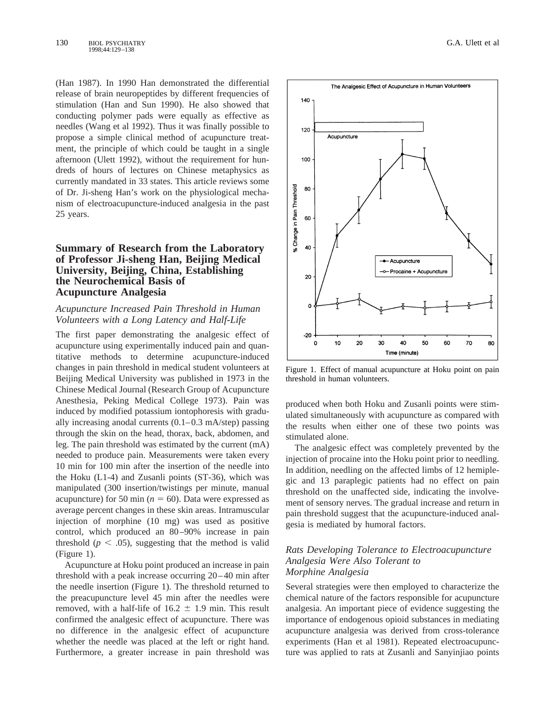(Han 1987). In 1990 Han demonstrated the differential release of brain neuropeptides by different frequencies of stimulation (Han and Sun 1990). He also showed that conducting polymer pads were equally as effective as needles (Wang et al 1992). Thus it was finally possible to propose a simple clinical method of acupuncture treatment, the principle of which could be taught in a single afternoon (Ulett 1992), without the requirement for hundreds of hours of lectures on Chinese metaphysics as currently mandated in 33 states. This article reviews some of Dr. Ji-sheng Han's work on the physiological mechanism of electroacupuncture-induced analgesia in the past 25 years.

### **Summary of Research from the Laboratory of Professor Ji-sheng Han, Beijing Medical University, Beijing, China, Establishing the Neurochemical Basis of Acupuncture Analgesia**

#### *Acupuncture Increased Pain Threshold in Human Volunteers with a Long Latency and Half-Life*

The first paper demonstrating the analgesic effect of acupuncture using experimentally induced pain and quantitative methods to determine acupuncture-induced changes in pain threshold in medical student volunteers at Beijing Medical University was published in 1973 in the Chinese Medical Journal (Research Group of Acupuncture Anesthesia, Peking Medical College 1973). Pain was induced by modified potassium iontophoresis with gradually increasing anodal currents  $(0.1-0.3 \text{ mA} / \text{step})$  passing through the skin on the head, thorax, back, abdomen, and leg. The pain threshold was estimated by the current (mA) needed to produce pain. Measurements were taken every 10 min for 100 min after the insertion of the needle into the Hoku (L1-4) and Zusanli points (ST-36), which was manipulated (300 insertion/twistings per minute, manual acupuncture) for 50 min ( $n = 60$ ). Data were expressed as average percent changes in these skin areas. Intramuscular injection of morphine (10 mg) was used as positive control, which produced an 80–90% increase in pain threshold ( $p < .05$ ), suggesting that the method is valid (Figure 1).

Acupuncture at Hoku point produced an increase in pain threshold with a peak increase occurring 20–40 min after the needle insertion (Figure 1). The threshold returned to the preacupuncture level 45 min after the needles were removed, with a half-life of  $16.2 \pm 1.9$  min. This result confirmed the analgesic effect of acupuncture. There was no difference in the analgesic effect of acupuncture whether the needle was placed at the left or right hand. Furthermore, a greater increase in pain threshold was



% Change in Pain Threshold

 $-20$  $\mathbf 0$ 

10

20

Figure 1. Effect of manual acupuncture at Hoku point on pain threshold in human volunteers.

40

Time (minute)

50

60

70

80

30

produced when both Hoku and Zusanli points were stimulated simultaneously with acupuncture as compared with the results when either one of these two points was stimulated alone.

The analgesic effect was completely prevented by the injection of procaine into the Hoku point prior to needling. In addition, needling on the affected limbs of 12 hemiplegic and 13 paraplegic patients had no effect on pain threshold on the unaffected side, indicating the involvement of sensory nerves. The gradual increase and return in pain threshold suggest that the acupuncture-induced analgesia is mediated by humoral factors.

#### *Rats Developing Tolerance to Electroacupuncture Analgesia Were Also Tolerant to Morphine Analgesia*

Several strategies were then employed to characterize the chemical nature of the factors responsible for acupuncture analgesia. An important piece of evidence suggesting the importance of endogenous opioid substances in mediating acupuncture analgesia was derived from cross-tolerance experiments (Han et al 1981). Repeated electroacupuncture was applied to rats at Zusanli and Sanyinjiao points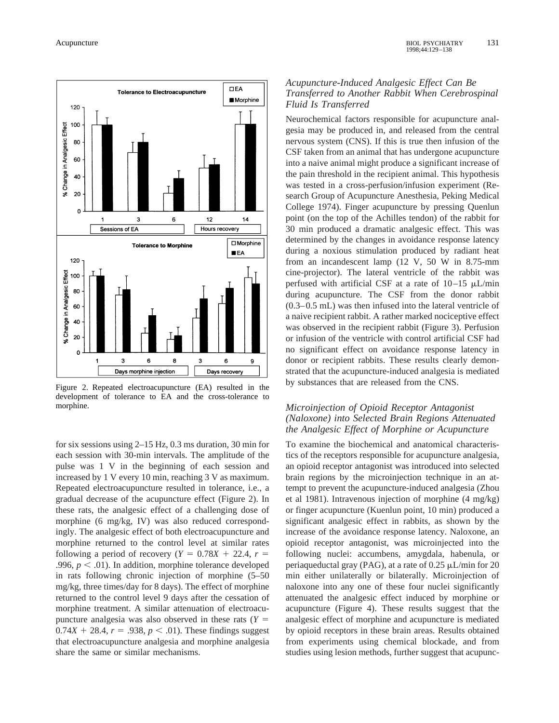

Figure 2. Repeated electroacupuncture (EA) resulted in the development of tolerance to EA and the cross-tolerance to morphine.

for six sessions using 2–15 Hz, 0.3 ms duration, 30 min for each session with 30-min intervals. The amplitude of the pulse was 1 V in the beginning of each session and increased by 1 V every 10 min, reaching 3 V as maximum. Repeated electroacupuncture resulted in tolerance, i.e., a gradual decrease of the acupuncture effect (Figure 2). In these rats, the analgesic effect of a challenging dose of morphine (6 mg/kg, IV) was also reduced correspondingly. The analgesic effect of both electroacupuncture and morphine returned to the control level at similar rates following a period of recovery ( $Y = 0.78X + 22.4$ ,  $r =$ .996,  $p < .01$ ). In addition, morphine tolerance developed in rats following chronic injection of morphine (5–50 mg/kg, three times/day for 8 days). The effect of morphine returned to the control level 9 days after the cessation of morphine treatment. A similar attenuation of electroacupuncture analgesia was also observed in these rats  $(Y =$  $0.74X + 28.4$ ,  $r = .938$ ,  $p < .01$ ). These findings suggest that electroacupuncture analgesia and morphine analgesia share the same or similar mechanisms.

#### *Acupuncture-Induced Analgesic Effect Can Be Transferred to Another Rabbit When Cerebrospinal Fluid Is Transferred*

Neurochemical factors responsible for acupuncture analgesia may be produced in, and released from the central nervous system (CNS). If this is true then infusion of the CSF taken from an animal that has undergone acupuncture into a naive animal might produce a significant increase of the pain threshold in the recipient animal. This hypothesis was tested in a cross-perfusion/infusion experiment (Research Group of Acupuncture Anesthesia, Peking Medical College 1974). Finger acupuncture by pressing Quenlun point (on the top of the Achilles tendon) of the rabbit for 30 min produced a dramatic analgesic effect. This was determined by the changes in avoidance response latency during a noxious stimulation produced by radiant heat from an incandescent lamp (12 V, 50 W in 8.75-mm cine-projector). The lateral ventricle of the rabbit was perfused with artificial CSF at a rate of  $10-15 \mu L/min$ during acupuncture. The CSF from the donor rabbit (0.3–0.5 mL) was then infused into the lateral ventricle of a naive recipient rabbit. A rather marked nociceptive effect was observed in the recipient rabbit (Figure 3). Perfusion or infusion of the ventricle with control artificial CSF had no significant effect on avoidance response latency in donor or recipient rabbits. These results clearly demonstrated that the acupuncture-induced analgesia is mediated by substances that are released from the CNS.

#### *Microinjection of Opioid Receptor Antagonist (Naloxone) into Selected Brain Regions Attenuated the Analgesic Effect of Morphine or Acupuncture*

To examine the biochemical and anatomical characteristics of the receptors responsible for acupuncture analgesia, an opioid receptor antagonist was introduced into selected brain regions by the microinjection technique in an attempt to prevent the acupuncture-induced analgesia (Zhou et al 1981). Intravenous injection of morphine (4 mg/kg) or finger acupuncture (Kuenlun point, 10 min) produced a significant analgesic effect in rabbits, as shown by the increase of the avoidance response latency. Naloxone, an opioid receptor antagonist, was microinjected into the following nuclei: accumbens, amygdala, habenula, or periaqueductal gray (PAG), at a rate of  $0.25 \mu L/min$  for 20 min either unilaterally or bilaterally. Microinjection of naloxone into any one of these four nuclei significantly attenuated the analgesic effect induced by morphine or acupuncture (Figure 4). These results suggest that the analgesic effect of morphine and acupuncture is mediated by opioid receptors in these brain areas. Results obtained from experiments using chemical blockade, and from studies using lesion methods, further suggest that acupunc-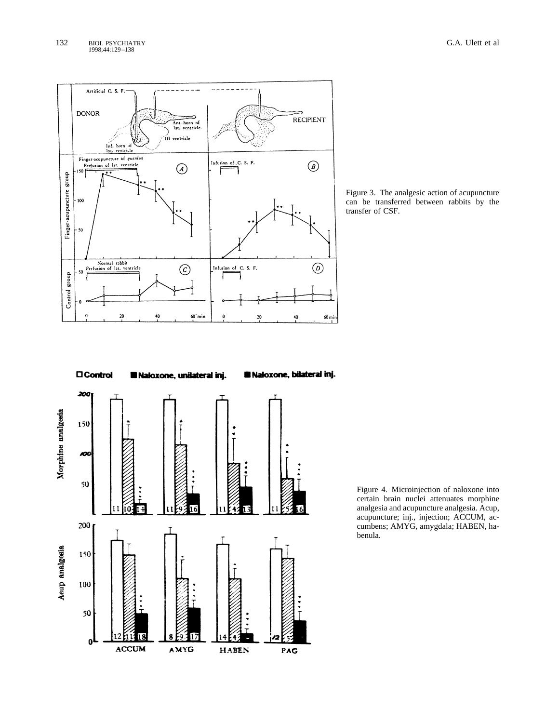

Figure 3. The analgesic action of acupuncture can be transferred between rabbits by the transfer of CSF.

 $\square$  Control

**Il Naloxone, unilateral inj.** 

**Il Naloxone, bilateral inj.** 

Figure 4. Microinjection of naloxone into certain brain nuclei attenuates morphine analgesia and acupuncture analgesia. Acup, acupuncture; inj., injection; ACCUM, accumbens; AMYG, amygdala; HABEN, habenula.

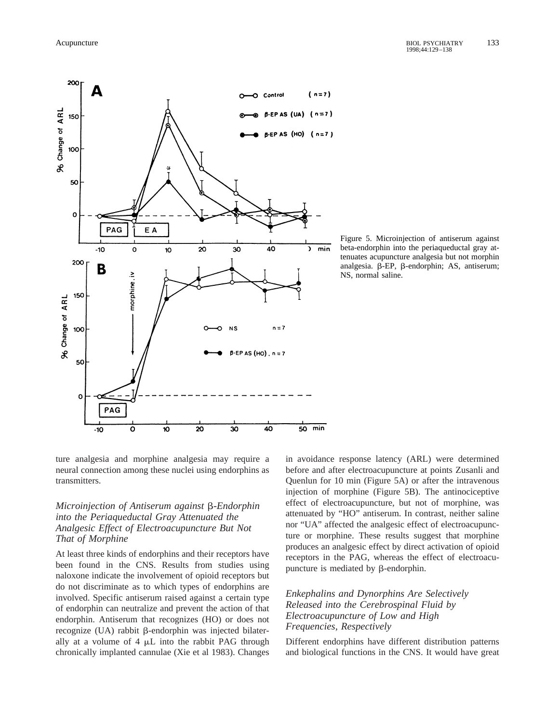96 Change of ARL



Figure 5. Microinjection of antiserum against beta-endorphin into the periaqueductal gray attenuates acupuncture analgesia but not morphin analgesia.  $\beta$ -EP,  $\beta$ -endorphin; AS, antiserum; NS, normal saline.

ture analgesia and morphine analgesia may require a neural connection among these nuclei using endorphins as transmitters.

10

20

30

40

 $50$  min

 $\overline{\mathbf{o}}$ 

 $-10$ 

### *Microinjection of Antiserum against* b*-Endorphin into the Periaqueductal Gray Attenuated the Analgesic Effect of Electroacupuncture But Not That of Morphine*

At least three kinds of endorphins and their receptors have been found in the CNS. Results from studies using naloxone indicate the involvement of opioid receptors but do not discriminate as to which types of endorphins are involved. Specific antiserum raised against a certain type of endorphin can neutralize and prevent the action of that endorphin. Antiserum that recognizes (HO) or does not recognize  $(UA)$  rabbit  $\beta$ -endorphin was injected bilaterally at a volume of  $4 \mu L$  into the rabbit PAG through chronically implanted cannulae (Xie et al 1983). Changes in avoidance response latency (ARL) were determined before and after electroacupuncture at points Zusanli and Quenlun for 10 min (Figure 5A) or after the intravenous injection of morphine (Figure 5B). The antinociceptive effect of electroacupuncture, but not of morphine, was attenuated by "HO" antiserum. In contrast, neither saline nor "UA" affected the analgesic effect of electroacupuncture or morphine. These results suggest that morphine produces an analgesic effect by direct activation of opioid receptors in the PAG, whereas the effect of electroacupuncture is mediated by  $\beta$ -endorphin.

### *Enkephalins and Dynorphins Are Selectively Released into the Cerebrospinal Fluid by Electroacupuncture of Low and High Frequencies, Respectively*

Different endorphins have different distribution patterns and biological functions in the CNS. It would have great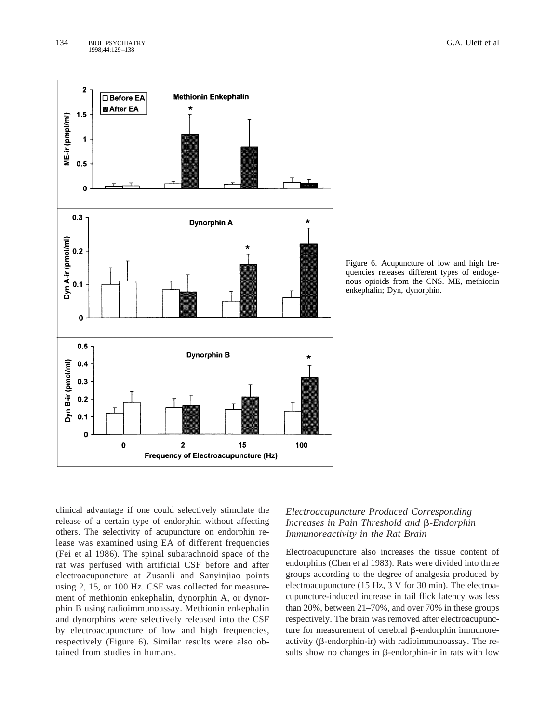

Figure 6. Acupuncture of low and high frequencies releases different types of endogenous opioids from the CNS. ME, methionin enkephalin; Dyn, dynorphin.

clinical advantage if one could selectively stimulate the release of a certain type of endorphin without affecting others. The selectivity of acupuncture on endorphin release was examined using EA of different frequencies (Fei et al 1986). The spinal subarachnoid space of the rat was perfused with artificial CSF before and after electroacupuncture at Zusanli and Sanyinjiao points using 2, 15, or 100 Hz. CSF was collected for measurement of methionin enkephalin, dynorphin A, or dynorphin B using radioimmunoassay. Methionin enkephalin and dynorphins were selectively released into the CSF by electroacupuncture of low and high frequencies, respectively (Figure 6). Similar results were also obtained from studies in humans.

# *Electroacupuncture Produced Corresponding Increases in Pain Threshold and*  $\beta$ *-Endorphin Immunoreactivity in the Rat Brain*

Electroacupuncture also increases the tissue content of endorphins (Chen et al 1983). Rats were divided into three groups according to the degree of analgesia produced by electroacupuncture (15 Hz, 3 V for 30 min). The electroacupuncture-induced increase in tail flick latency was less than 20%, between 21–70%, and over 70% in these groups respectively. The brain was removed after electroacupuncture for measurement of cerebral  $\beta$ -endorphin immunoreactivity ( $\beta$ -endorphin-ir) with radioimmunoassay. The results show no changes in  $\beta$ -endorphin-ir in rats with low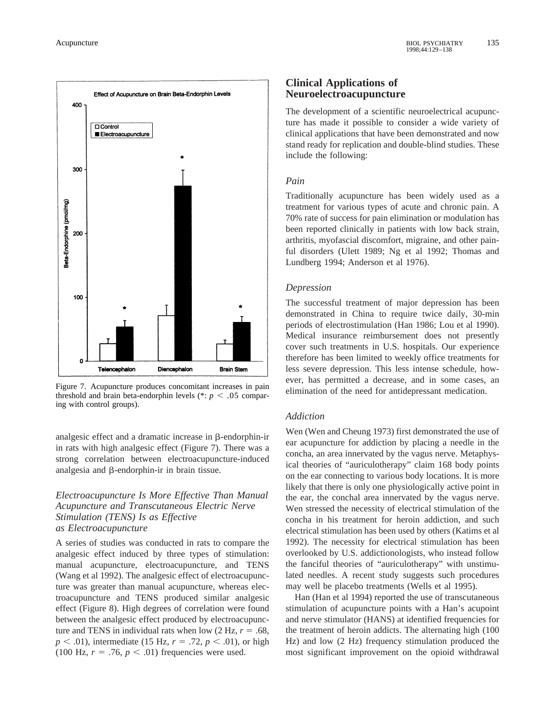

Figure 7. Acupuncture produces concomitant increases in pain threshold and brain beta-endorphin levels ( $\ast$ :  $p < .05$  comparing with control groups).

analgesic effect and a dramatic increase in  $\beta$ -endorphin-ir in rats with high analgesic effect (Figure 7). There was a strong correlation between electroacupuncture-induced analgesia and  $\beta$ -endorphin-ir in brain tissue.

#### *Electroacupuncture Is More Effective Than Manual Acupuncture and Transcutaneous Electric Nerve Stimulation (TENS) Is as Effective as Electroacupuncture*

A series of studies was conducted in rats to compare the analgesic effect induced by three types of stimulation: manual acupuncture, electroacupuncture, and TENS (Wang et al 1992). The analgesic effect of electroacupuncture was greater than manual acupuncture, whereas electroacupuncture and TENS produced similar analgesic effect (Figure 8). High degrees of correlation were found between the analgesic effect produced by electroacupuncture and TENS in individual rats when low  $(2 \text{ Hz}, r = .68, )$  $p < .01$ ), intermediate (15 Hz,  $r = .72$ ,  $p < .01$ ), or high (100 Hz,  $r = .76$ ,  $p < .01$ ) frequencies were used.

## **Clinical Applications of Neuroelectroacupuncture**

The development of a scientific neuroelectrical acupuncture has made it possible to consider a wide variety of clinical applications that have been demonstrated and now stand ready for replication and double-blind studies. These include the following:

## *Pain*

Traditionally acupuncture has been widely used as a treatment for various types of acute and chronic pain. A 70% rate of success for pain elimination or modulation has been reported clinically in patients with low back strain, arthritis, myofascial discomfort, migraine, and other painful disorders (Ulett 1989; Ng et al 1992; Thomas and Lundberg 1994; Anderson et al 1976).

## *Depression*

The successful treatment of major depression has been demonstrated in China to require twice daily, 30-min periods of electrostimulation (Han 1986; Lou et al 1990). Medical insurance reimbursement does not presently cover such treatments in U.S. hospitals. Our experience therefore has been limited to weekly office treatments for less severe depression. This less intense schedule, however, has permitted a decrease, and in some cases, an elimination of the need for antidepressant medication.

#### *Addiction*

Wen (Wen and Cheung 1973) first demonstrated the use of ear acupuncture for addiction by placing a needle in the concha, an area innervated by the vagus nerve. Metaphysical theories of "auriculotherapy" claim 168 body points on the ear connecting to various body locations. It is more likely that there is only one physiologically active point in the ear, the conchal area innervated by the vagus nerve. Wen stressed the necessity of electrical stimulation of the concha in his treatment for heroin addiction, and such electrical stimulation has been used by others (Katims et al 1992). The necessity for electrical stimulation has been overlooked by U.S. addictionologists, who instead follow the fanciful theories of "auriculotherapy" with unstimulated needles. A recent study suggests such procedures may well be placebo treatments (Wells et al 1995).

Han (Han et al 1994) reported the use of transcutaneous stimulation of acupuncture points with a Han's acupoint and nerve stimulator (HANS) at identified frequencies for the treatment of heroin addicts. The alternating high (100 Hz) and low (2 Hz) frequency stimulation produced the most significant improvement on the opioid withdrawal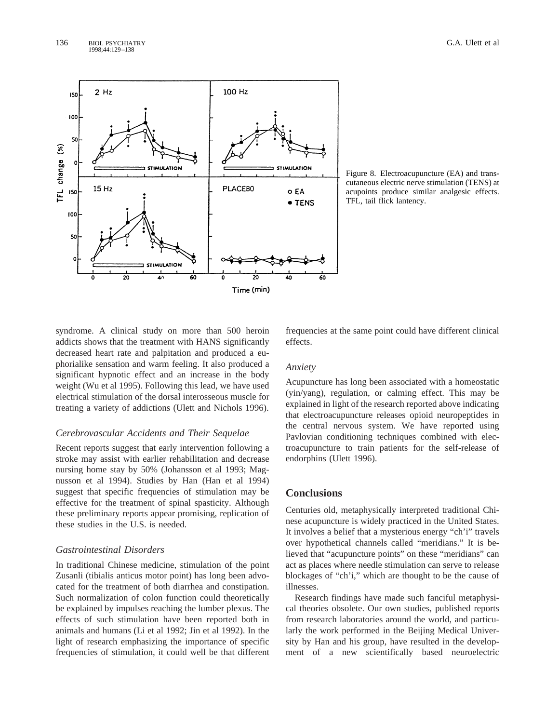

Figure 8. Electroacupuncture (EA) and transcutaneous electric nerve stimulation (TENS) at acupoints produce similar analgesic effects. TFL, tail flick lantency.

syndrome. A clinical study on more than 500 heroin addicts shows that the treatment with HANS significantly decreased heart rate and palpitation and produced a euphorialike sensation and warm feeling. It also produced a significant hypnotic effect and an increase in the body weight (Wu et al 1995). Following this lead, we have used electrical stimulation of the dorsal interosseous muscle for treating a variety of addictions (Ulett and Nichols 1996).

#### *Cerebrovascular Accidents and Their Sequelae*

Recent reports suggest that early intervention following a stroke may assist with earlier rehabilitation and decrease nursing home stay by 50% (Johansson et al 1993; Magnusson et al 1994). Studies by Han (Han et al 1994) suggest that specific frequencies of stimulation may be effective for the treatment of spinal spasticity. Although these preliminary reports appear promising, replication of these studies in the U.S. is needed.

#### *Gastrointestinal Disorders*

In traditional Chinese medicine, stimulation of the point Zusanli (tibialis anticus motor point) has long been advocated for the treatment of both diarrhea and constipation. Such normalization of colon function could theoretically be explained by impulses reaching the lumber plexus. The effects of such stimulation have been reported both in animals and humans (Li et al 1992; Jin et al 1992). In the light of research emphasizing the importance of specific frequencies of stimulation, it could well be that different frequencies at the same point could have different clinical effects.

#### *Anxiety*

Acupuncture has long been associated with a homeostatic (yin/yang), regulation, or calming effect. This may be explained in light of the research reported above indicating that electroacupuncture releases opioid neuropeptides in the central nervous system. We have reported using Pavlovian conditioning techniques combined with electroacupuncture to train patients for the self-release of endorphins (Ulett 1996).

## **Conclusions**

Centuries old, metaphysically interpreted traditional Chinese acupuncture is widely practiced in the United States. It involves a belief that a mysterious energy "ch'i" travels over hypothetical channels called "meridians." It is believed that "acupuncture points" on these "meridians" can act as places where needle stimulation can serve to release blockages of "ch'i," which are thought to be the cause of illnesses.

Research findings have made such fanciful metaphysical theories obsolete. Our own studies, published reports from research laboratories around the world, and particularly the work performed in the Beijing Medical University by Han and his group, have resulted in the development of a new scientifically based neuroelectric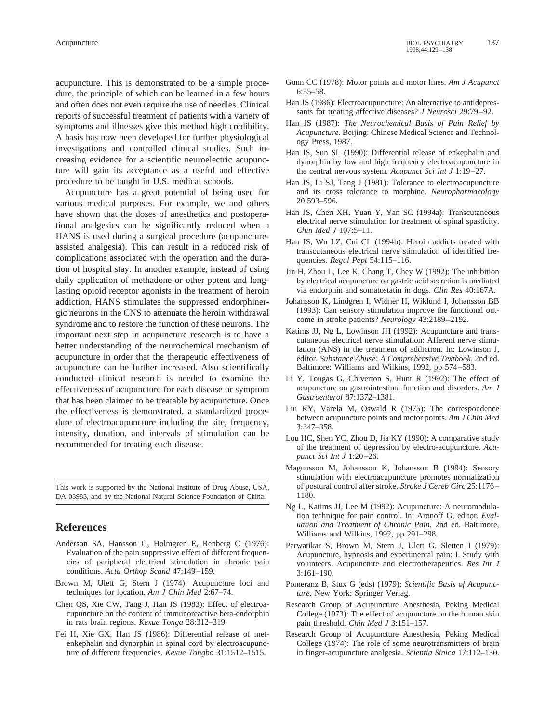acupuncture. This is demonstrated to be a simple procedure, the principle of which can be learned in a few hours and often does not even require the use of needles. Clinical reports of successful treatment of patients with a variety of symptoms and illnesses give this method high credibility. A basis has now been developed for further physiological investigations and controlled clinical studies. Such increasing evidence for a scientific neuroelectric acupuncture will gain its acceptance as a useful and effective procedure to be taught in U.S. medical schools.

Acupuncture has a great potential of being used for various medical purposes. For example, we and others have shown that the doses of anesthetics and postoperational analgesics can be significantly reduced when a HANS is used during a surgical procedure (acupunctureassisted analgesia). This can result in a reduced risk of complications associated with the operation and the duration of hospital stay. In another example, instead of using daily application of methadone or other potent and longlasting opioid receptor agonists in the treatment of heroin addiction, HANS stimulates the suppressed endorphinergic neurons in the CNS to attenuate the heroin withdrawal syndrome and to restore the function of these neurons. The important next step in acupuncture research is to have a better understanding of the neurochemical mechanism of acupuncture in order that the therapeutic effectiveness of acupuncture can be further increased. Also scientifically conducted clinical research is needed to examine the effectiveness of acupuncture for each disease or symptom that has been claimed to be treatable by acupuncture. Once the effectiveness is demonstrated, a standardized procedure of electroacupuncture including the site, frequency, intensity, duration, and intervals of stimulation can be recommended for treating each disease.

This work is supported by the National Institute of Drug Abuse, USA, DA 03983, and by the National Natural Science Foundation of China.

#### **References**

- Anderson SA, Hansson G, Holmgren E, Renberg O (1976): Evaluation of the pain suppressive effect of different frequencies of peripheral electrical stimulation in chronic pain conditions. *Acta Orthop Scand* 47:149–159.
- Brown M, Ulett G, Stern J (1974): Acupuncture loci and techniques for location. *Am J Chin Med* 2:67–74.
- Chen QS, Xie CW, Tang J, Han JS (1983): Effect of electroacupuncture on the content of immunoreactive beta-endorphin in rats brain regions. *Kexue Tonga* 28:312–319.
- Fei H, Xie GX, Han JS (1986): Differential release of metenkephalin and dynorphin in spinal cord by electroacupuncture of different frequencies. *Kexue Tongbo* 31:1512–1515.
- Gunn CC (1978): Motor points and motor lines. *Am J Acupunct* 6:55–58.
- Han JS (1986): Electroacupuncture: An alternative to antidepressants for treating affective diseases? *J Neurosci* 29:79–92.
- Han JS (1987): *The Neurochemical Basis of Pain Relief by Acupuncture.* Beijing: Chinese Medical Science and Technology Press, 1987.
- Han JS, Sun SL (1990): Differential release of enkephalin and dynorphin by low and high frequency electroacupuncture in the central nervous system. *Acupunct Sci Int J* 1:19–27.
- Han JS, Li SJ, Tang J (1981): Tolerance to electroacupuncture and its cross tolerance to morphine. *Neuropharmacology* 20:593–596.
- Han JS, Chen XH, Yuan Y, Yan SC (1994a): Transcutaneous electrical nerve stimulation for treatment of spinal spasticity. *Chin Med J* 107:5–11.
- Han JS, Wu LZ, Cui CL (1994b): Heroin addicts treated with transcutaneous electrical nerve stimulation of identified frequencies. *Regul Pept* 54:115–116.
- Jin H, Zhou L, Lee K, Chang T, Chey W (1992): The inhibition by electrical acupuncture on gastric acid secretion is mediated via endorphin and somatostatin in dogs. *Clin Res* 40:167A.
- Johansson K, Lindgren I, Widner H, Wiklund I, Johansson BB (1993): Can sensory stimulation improve the functional outcome in stroke patients? *Neurology* 43:2189–2192.
- Katims JJ, Ng L, Lowinson JH (1992): Acupuncture and transcutaneous electrical nerve stimulation: Afferent nerve stimulation (ANS) in the treatment of addiction. In: Lowinson J, editor. *Substance Abuse: A Comprehensive Textbook,* 2nd ed. Baltimore: Williams and Wilkins, 1992, pp 574–583.
- Li Y, Tougas G, Chiverton S, Hunt R (1992): The effect of acupuncture on gastrointestinal function and disorders. *Am J Gastroenterol* 87:1372–1381.
- Liu KY, Varela M, Oswald R (1975): The correspondence between acupuncture points and motor points. *Am J Chin Med* 3:347–358.
- Lou HC, Shen YC, Zhou D, Jia KY (1990): A comparative study of the treatment of depression by electro-acupuncture. *Acupunct Sci Int J* 1:20–26.
- Magnusson M, Johansson K, Johansson B (1994): Sensory stimulation with electroacupuncture promotes normalization of postural control after stroke. *Stroke J Cereb Circ* 25:1176– 1180.
- Ng L, Katims JJ, Lee M (1992): Acupuncture: A neuromodulation technique for pain control. In: Aronoff G, editor. *Evaluation and Treatment of Chronic Pain,* 2nd ed. Baltimore, Williams and Wilkins, 1992, pp 291–298.
- Parwatikar S, Brown M, Stern J, Ulett G, Sletten I (1979): Acupuncture, hypnosis and experimental pain: I. Study with volunteers. Acupuncture and electrotherapeutics. *Res Int J* 3:161–190.
- Pomeranz B, Stux G (eds) (1979): *Scientific Basis of Acupuncture.* New York: Springer Verlag.
- Research Group of Acupuncture Anesthesia, Peking Medical College (1973): The effect of acupuncture on the human skin pain threshold. *Chin Med J* 3:151–157.
- Research Group of Acupuncture Anesthesia, Peking Medical College (1974): The role of some neurotransmitters of brain in finger-acupuncture analgesia. *Scientia Sinica* 17:112–130.